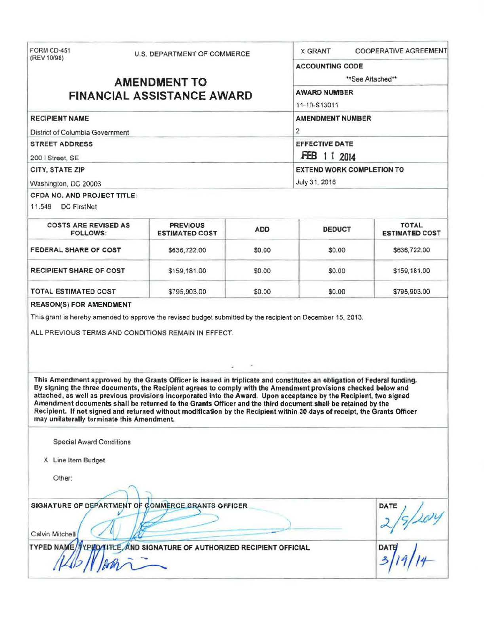| FORM CD-451<br><b>U.S. DEPARTMENT OF COMMERCE</b><br>(REV 10/98)<br><b>AMENDMENT TO</b><br><b>FINANCIAL ASSISTANCE AWARD</b>                                                                                                                                                                                                                                                                                                                                                                                                                                                                                                                              |                                          |            | <b>COOPERATIVE AGREEMENT</b><br><b>X GRANT</b> |                                       |  |
|-----------------------------------------------------------------------------------------------------------------------------------------------------------------------------------------------------------------------------------------------------------------------------------------------------------------------------------------------------------------------------------------------------------------------------------------------------------------------------------------------------------------------------------------------------------------------------------------------------------------------------------------------------------|------------------------------------------|------------|------------------------------------------------|---------------------------------------|--|
|                                                                                                                                                                                                                                                                                                                                                                                                                                                                                                                                                                                                                                                           |                                          |            | <b>ACCOUNTING CODE</b>                         |                                       |  |
|                                                                                                                                                                                                                                                                                                                                                                                                                                                                                                                                                                                                                                                           |                                          |            | **See Attached**                               |                                       |  |
|                                                                                                                                                                                                                                                                                                                                                                                                                                                                                                                                                                                                                                                           |                                          |            | <b>AWARD NUMBER</b>                            |                                       |  |
|                                                                                                                                                                                                                                                                                                                                                                                                                                                                                                                                                                                                                                                           |                                          |            | 11-10-S13011                                   |                                       |  |
| <b>RECIPIENT NAME</b>                                                                                                                                                                                                                                                                                                                                                                                                                                                                                                                                                                                                                                     | <b>AMENDMENT NUMBER</b>                  |            |                                                |                                       |  |
| District of Columbia Government                                                                                                                                                                                                                                                                                                                                                                                                                                                                                                                                                                                                                           |                                          |            | $\overline{2}$                                 |                                       |  |
| <b>STREET ADDRESS</b>                                                                                                                                                                                                                                                                                                                                                                                                                                                                                                                                                                                                                                     |                                          |            | <b>EFFECTIVE DATE</b>                          |                                       |  |
| 200   Street, SE                                                                                                                                                                                                                                                                                                                                                                                                                                                                                                                                                                                                                                          |                                          |            | FEB 11 2014                                    |                                       |  |
| CITY, STATE ZIP                                                                                                                                                                                                                                                                                                                                                                                                                                                                                                                                                                                                                                           |                                          |            | <b>EXTEND WORK COMPLETION TO</b>               |                                       |  |
| Washington, DC 20003                                                                                                                                                                                                                                                                                                                                                                                                                                                                                                                                                                                                                                      |                                          |            | July 31, 2016                                  |                                       |  |
| <b>CFDA NO. AND PROJECT TITLE:</b>                                                                                                                                                                                                                                                                                                                                                                                                                                                                                                                                                                                                                        |                                          |            |                                                |                                       |  |
| 11.549 DC FirstNet                                                                                                                                                                                                                                                                                                                                                                                                                                                                                                                                                                                                                                        |                                          |            |                                                |                                       |  |
| <b>COSTS ARE REVISED AS</b><br><b>FOLLOWS:</b>                                                                                                                                                                                                                                                                                                                                                                                                                                                                                                                                                                                                            | <b>PREVIOUS</b><br><b>ESTIMATED COST</b> | <b>ADD</b> | <b>DEDUCT</b>                                  | <b>TOTAL</b><br><b>ESTIMATED COST</b> |  |
| FEDERAL SHARE OF COST                                                                                                                                                                                                                                                                                                                                                                                                                                                                                                                                                                                                                                     | \$636,722.00                             | \$0.00     | \$0.00                                         | \$636,722.00                          |  |
| <b>RECIPIENT SHARE OF COST</b>                                                                                                                                                                                                                                                                                                                                                                                                                                                                                                                                                                                                                            | \$159,181.00                             | \$0.00     | \$0.00                                         | \$159,181.00                          |  |
| <b>TOTAL ESTIMATED COST</b>                                                                                                                                                                                                                                                                                                                                                                                                                                                                                                                                                                                                                               | \$795,903.00                             | \$0.00     | \$0.00                                         | \$795,903.00                          |  |
| ALL PREVIOUS TERMS AND CONDITIONS REMAIN IN EFFECT.                                                                                                                                                                                                                                                                                                                                                                                                                                                                                                                                                                                                       |                                          |            |                                                |                                       |  |
| This Amendment approved by the Grants Officer is issued in triplicate and constitutes an obligation of Federal funding.<br>By signing the three documents, the Recipient agrees to comply with the Amendment provisions checked below and<br>attached, as well as previous provisions incorporated into the Award. Upon acceptance by the Recipient, two signed<br>Amendment documents shall be returned to the Grants Officer and the third document shall be retained by the<br>Recipient. If not signed and returned without modification by the Recipient within 30 days of receipt, the Grants Officer<br>may unilaterally terminate this Amendment. |                                          | $\epsilon$ |                                                |                                       |  |
| <b>Special Award Conditions</b>                                                                                                                                                                                                                                                                                                                                                                                                                                                                                                                                                                                                                           |                                          |            |                                                |                                       |  |
| X Line Item Budget                                                                                                                                                                                                                                                                                                                                                                                                                                                                                                                                                                                                                                        |                                          |            |                                                |                                       |  |
| Other:                                                                                                                                                                                                                                                                                                                                                                                                                                                                                                                                                                                                                                                    |                                          |            |                                                |                                       |  |
| SIGNATURE OF DEPARTMENT OF COMMERCE GRANTS OFFICER<br>Calvin Mitchell                                                                                                                                                                                                                                                                                                                                                                                                                                                                                                                                                                                     |                                          |            |                                                | DATE                                  |  |
| TYPED NAME/VYPED/TITLE, AND SIGNATURE OF AUTHORIZED RECIPIENT OFFICIAL                                                                                                                                                                                                                                                                                                                                                                                                                                                                                                                                                                                    |                                          |            |                                                | DATI                                  |  |